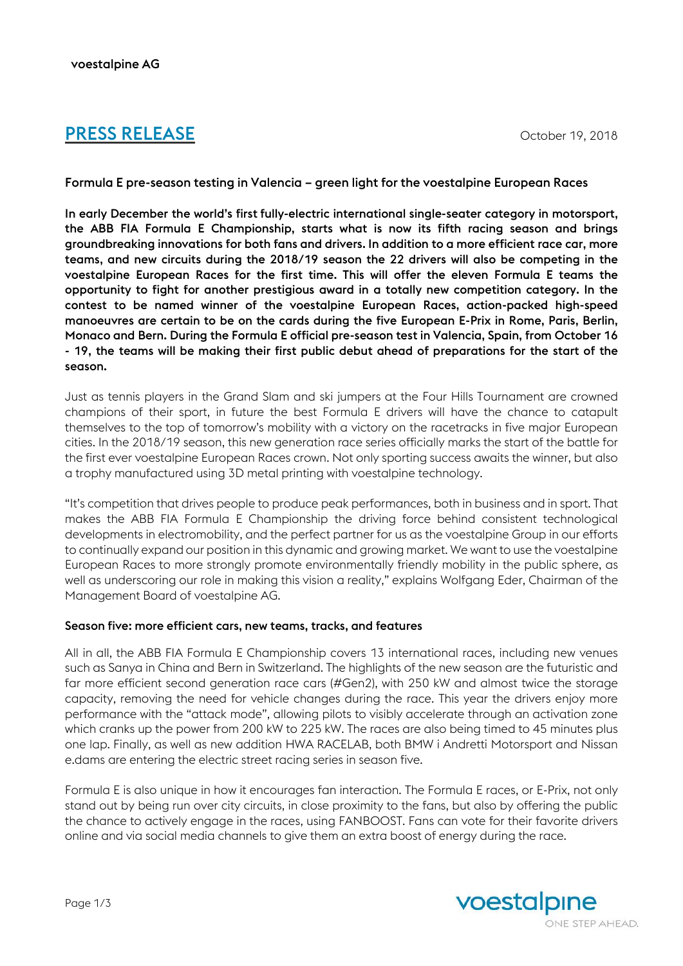# **PRESS RELEASE** October 19, 2018

Formula E pre-season testing in Valencia – green light for the voestalpine European Races

In early December the world's first fully-electric international single-seater category in motorsport, the ABB FIA Formula E Championship, starts what is now its fifth racing season and brings groundbreaking innovations for both fans and drivers. In addition to a more efficient race car, more teams, and new circuits during the 2018/19 season the 22 drivers will also be competing in the voestalpine European Races for the first time. This will offer the eleven Formula E teams the opportunity to fight for another prestigious award in a totally new competition category. In the contest to be named winner of the voestalpine European Races, action-packed high-speed manoeuvres are certain to be on the cards during the five European E-Prix in Rome, Paris, Berlin, Monaco and Bern. During the Formula E official pre-season test in Valencia, Spain, from October 16 - 19, the teams will be making their first public debut ahead of preparations for the start of the season.

Just as tennis players in the Grand Slam and ski jumpers at the Four Hills Tournament are crowned champions of their sport, in future the best Formula E drivers will have the chance to catapult themselves to the top of tomorrow's mobility with a victory on the racetracks in five major European cities. In the 2018/19 season, this new generation race series officially marks the start of the battle for the first ever voestalpine European Races crown. Not only sporting success awaits the winner, but also a trophy manufactured using 3D metal printing with voestalpine technology.

"It's competition that drives people to produce peak performances, both in business and in sport. That makes the ABB FIA Formula E Championship the driving force behind consistent technological developments in electromobility, and the perfect partner for us as the voestalpine Group in our efforts to continually expand our position in this dynamic and growing market. We want to use the voestalpine European Races to more strongly promote environmentally friendly mobility in the public sphere, as well as underscoring our role in making this vision a reality," explains Wolfgang Eder, Chairman of the Management Board of voestalpine AG.

#### Season five: more efficient cars, new teams, tracks, and features

All in all, the ABB FIA Formula E Championship covers 13 international races, including new venues such as Sanya in China and Bern in Switzerland. The highlights of the new season are the futuristic and far more efficient second generation race cars (#Gen2), with 250 kW and almost twice the storage capacity, removing the need for vehicle changes during the race. This year the drivers enjoy more performance with the "attack mode", allowing pilots to visibly accelerate through an activation zone which cranks up the power from 200 kW to 225 kW. The races are also being timed to 45 minutes plus one lap. Finally, as well as new addition HWA RACELAB, both BMW i Andretti Motorsport and Nissan e.dams are entering the electric street racing series in season five.

Formula E is also unique in how it encourages fan interaction. The Formula E races, or E-Prix, not only stand out by being run over city circuits, in close proximity to the fans, but also by offering the public the chance to actively engage in the races, using FANBOOST. Fans can vote for their favorite drivers online and via social media channels to give them an extra boost of energy during the race.

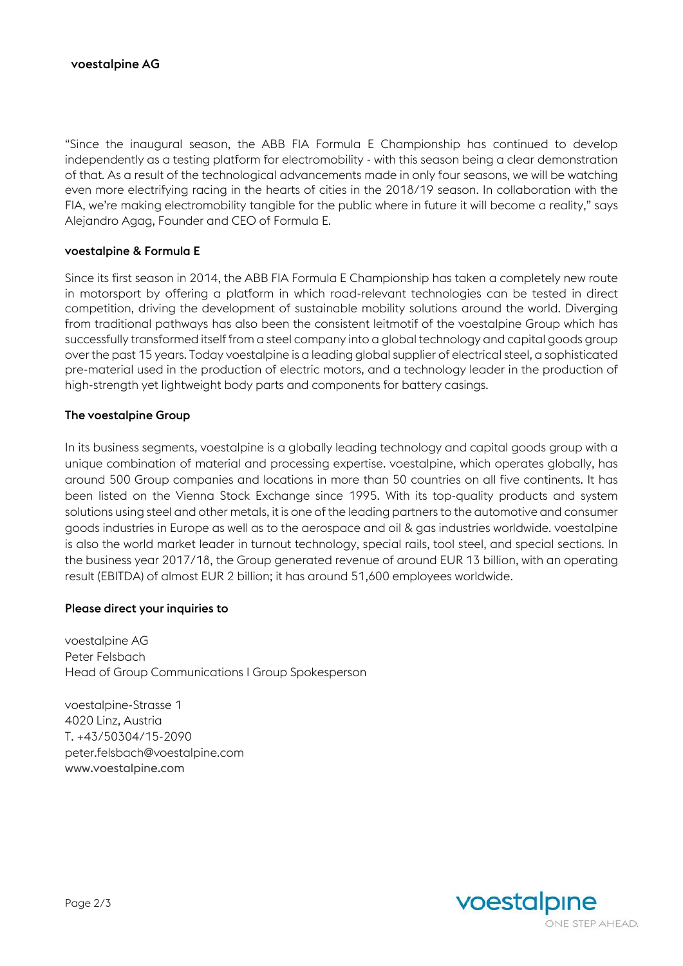"Since the inaugural season, the ABB FIA Formula E Championship has continued to develop independently as a testing platform for electromobility - with this season being a clear demonstration of that. As a result of the technological advancements made in only four seasons, we will be watching even more electrifying racing in the hearts of cities in the 2018/19 season. In collaboration with the FIA, we're making electromobility tangible for the public where in future it will become a reality," says Alejandro Agag, Founder and CEO of Formula E.

## voestalpine & Formula E

Since its first season in 2014, the ABB FIA Formula E Championship has taken a completely new route in motorsport by offering a platform in which road-relevant technologies can be tested in direct competition, driving the development of sustainable mobility solutions around the world. Diverging from traditional pathways has also been the consistent leitmotif of the voestalpine Group which has successfully transformed itself from a steel company into a global technology and capital goods group over the past 15 years. Today voestalpine is a leading global supplier of electrical steel, a sophisticated pre-material used in the production of electric motors, and a technology leader in the production of high-strength yet lightweight body parts and components for battery casings.

### The voestalpine Group

In its business segments, voestalpine is a globally leading technology and capital goods group with a unique combination of material and processing expertise. voestalpine, which operates globally, has around 500 Group companies and locations in more than 50 countries on all five continents. It has been listed on the Vienna Stock Exchange since 1995. With its top-quality products and system solutions using steel and other metals, it is one of the leading partners to the automotive and consumer goods industries in Europe as well as to the aerospace and oil & gas industries worldwide. voestalpine is also the world market leader in turnout technology, special rails, tool steel, and special sections. In the business year 2017/18, the Group generated revenue of around EUR 13 billion, with an operating result (EBITDA) of almost EUR 2 billion; it has around 51,600 employees worldwide.

## Please direct your inquiries to

voestalpine AG Peter Felsbach Head of Group Communications I Group Spokesperson

voestalpine-Strasse 1 4020 Linz, Austria T. +43/50304/15-2090 peter.felsbach@voestalpine.com [www.voestalpine.com](http://www.voestalpine.com/)